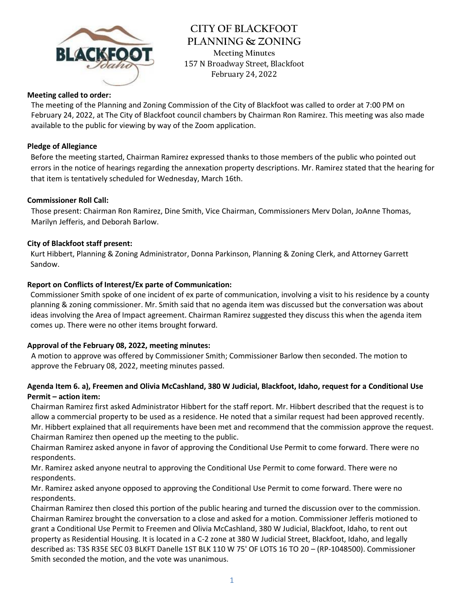

**CITY OF BLACKFOOT PLANNING & ZONING Meeting Minutes** 157 N Broadway Street, Blackfoot February 24, 2022

## **Meeting called to order:**

The meeting of the Planning and Zoning Commission of the City of Blackfoot was called to order at 7:00 PM on February 24, 2022, at The City of Blackfoot council chambers by Chairman Ron Ramirez. This meeting was also made available to the public for viewing by way of the Zoom application.

## **Pledge of Allegiance**

Before the meeting started, Chairman Ramirez expressed thanks to those members of the public who pointed out errors in the notice of hearings regarding the annexation property descriptions. Mr. Ramirez stated that the hearing for that item is tentatively scheduled for Wednesday, March 16th.

### **Commissioner Roll Call:**

Those present: Chairman Ron Ramirez, Dine Smith, Vice Chairman, Commissioners Merv Dolan, JoAnne Thomas, Marilyn Jefferis, and Deborah Barlow.

### **City of Blackfoot staff present:**

Kurt Hibbert, Planning & Zoning Administrator, Donna Parkinson, Planning & Zoning Clerk, and Attorney Garrett Sandow.

### **Report on Conflicts of Interest/Ex parte of Communication:**

Commissioner Smith spoke of one incident of ex parte of communication, involving a visit to his residence by a county planning & zoning commissioner. Mr. Smith said that no agenda item was discussed but the conversation was about ideas involving the Area of Impact agreement. Chairman Ramirez suggested they discuss this when the agenda item comes up. There were no other items brought forward.

## **Approval of the February 08, 2022, meeting minutes:**

A motion to approve was offered by Commissioner Smith; Commissioner Barlow then seconded. The motion to approve the February 08, 2022, meeting minutes passed.

# **Agenda Item 6. a), Freemen and Olivia McCashland, 380 W Judicial, Blackfoot, Idaho, request for a Conditional Use Permit – action item:**

Chairman Ramirez first asked Administrator Hibbert for the staff report. Mr. Hibbert described that the request is to allow a commercial property to be used as a residence. He noted that a similar request had been approved recently. Mr. Hibbert explained that all requirements have been met and recommend that the commission approve the request. Chairman Ramirez then opened up the meeting to the public.

Chairman Ramirez asked anyone in favor of approving the Conditional Use Permit to come forward. There were no respondents.

Mr. Ramirez asked anyone neutral to approving the Conditional Use Permit to come forward. There were no respondents.

Mr. Ramirez asked anyone opposed to approving the Conditional Use Permit to come forward. There were no respondents.

Chairman Ramirez then closed this portion of the public hearing and turned the discussion over to the commission. Chairman Ramirez brought the conversation to a close and asked for a motion. Commissioner Jefferis motioned to grant a Conditional Use Permit to Freemen and Olivia McCashland, 380 W Judicial, Blackfoot, Idaho, to rent out property as Residential Housing. It is located in a C-2 zone at 380 W Judicial Street, Blackfoot, Idaho, and legally described as: T3S R35E SEC 03 BLKFT Danelle 1ST BLK 110 W 75' OF LOTS 16 TO 20 – (RP-1048500). Commissioner Smith seconded the motion, and the vote was unanimous.